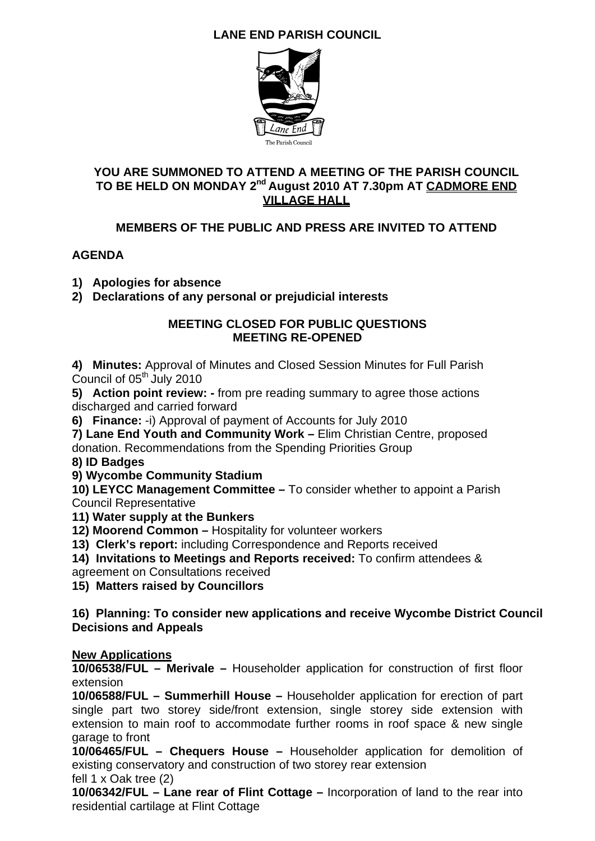## **LANE END PARISH COUNCIL**



## **YOU ARE SUMMONED TO ATTEND A MEETING OF THE PARISH COUNCIL**  TO BE HELD ON MONDAY 2<sup>nd</sup> August 2010 AT 7.30pm AT CADMORE END **VILLAGE HALL**

## **MEMBERS OF THE PUBLIC AND PRESS ARE INVITED TO ATTEND**

## **AGENDA**

**1) Apologies for absence** 

**2) Declarations of any personal or prejudicial interests** 

#### **MEETING CLOSED FOR PUBLIC QUESTIONS MEETING RE-OPENED**

**4) Minutes:** Approval of Minutes and Closed Session Minutes for Full Parish Council of 05<sup>th</sup> July 2010

**5) Action point review: -** from pre reading summary to agree those actions discharged and carried forward

**6) Finance:** -i) Approval of payment of Accounts for July 2010

**7) Lane End Youth and Community Work –** Elim Christian Centre, proposed donation. Recommendations from the Spending Priorities Group

**8) ID Badges** 

**9) Wycombe Community Stadium** 

**10) LEYCC Management Committee –** To consider whether to appoint a Parish Council Representative

**11) Water supply at the Bunkers** 

**12) Moorend Common –** Hospitality for volunteer workers

**13) Clerk's report:** including Correspondence and Reports received

**14) Invitations to Meetings and Reports received:** To confirm attendees &

agreement on Consultations received

**15) Matters raised by Councillors** 

**16) Planning: To consider new applications and receive Wycombe District Council Decisions and Appeals** 

### **New Applications**

**10/06538/FUL – Merivale –** Householder application for construction of first floor extension

**10/06588/FUL – Summerhill House –** Householder application for erection of part single part two storey side/front extension, single storey side extension with extension to main roof to accommodate further rooms in roof space & new single garage to front

**10/06465/FUL – Chequers House –** Householder application for demolition of existing conservatory and construction of two storey rear extension

fell 1 x Oak tree (2)

**10/06342/FUL – Lane rear of Flint Cottage –** Incorporation of land to the rear into residential cartilage at Flint Cottage